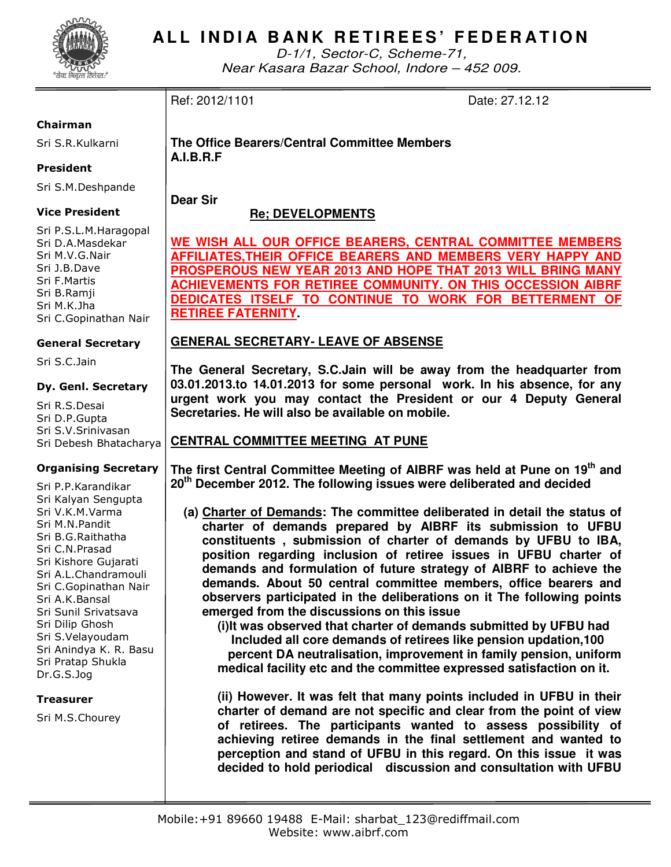

D-1/1, Sector-C, Scheme-71, Near Kasara Bazar School, Indore – 452 009.

## Ref: 2012/1101 Date: 27.12.12

## Chairman

Sri S.R.Kulkarni

## President

Sri S.M.Deshpande

## Vice President

Sri P.S.L.M.Haragopal Sri D.A.Masdekar Sri M.V.G.Nair Sri J.B.Dave Sri F.Martis Sri B.Ramji Sri M.K.Jha Sri C.Gopinathan Nair

## General Secretary

Sri S.C.Jain

## Dy. Genl. Secretary

Sri R.S.Desai Sri D.P.Gupta Sri S.V.Srinivasan Sri Debesh Bhatacharya

## Organising Secretary

Sri P.P.Karandikar Sri Kalyan Sengupta Sri V.K.M.Varma Sri M.N.Pandit Sri B.G.Raithatha Sri C.N.Prasad Sri Kishore Gujarati Sri A.L.Chandramouli Sri C.Gopinathan Nair Sri A.K.Bansal Sri Sunil Srivatsava Sri Dilip Ghosh Sri S.Velayoudam Sri Anindya K. R. Basu Sri Pratap Shukla Dr.G.S.Jog

#### **Treasurer**

Sri M.S.Chourey

**The Office Bearers/Central Committee Members A.I.B.R.F** 

**Dear Sir** 

## **Re; DEVELOPMENTS**

**WE WISH ALL OUR OFFICE BEARERS, CENTRAL COMMITTEE MEMBERS AFFILIATES,THEIR OFFICE BEARERS AND MEMBERS VERY HAPPY AND PROSPEROUS NEW YEAR 2013 AND HOPE THAT 2013 WILL BRING MANY ACHIEVEMENTS FOR RETIREE COMMUNITY. ON THIS OCCESSION AIBRF DEDICATES ITSELF TO CONTINUE TO WORK FOR BETTERMENT OF RETIREE FATERNITY.** 

## **GENERAL SECRETARY- LEAVE OF ABSENSE**

**The General Secretary, S.C.Jain will be away from the headquarter from 03.01.2013.to 14.01.2013 for some personal work. In his absence, for any urgent work you may contact the President or our 4 Deputy General Secretaries. He will also be available on mobile.** 

## **CENTRAL COMMITTEE MEETING AT PUNE**

**The first Central Committee Meeting of AIBRF was held at Pune on 19th and 20th December 2012. The following issues were deliberated and decided** 

**(a) Charter of Demands: The committee deliberated in detail the status of charter of demands prepared by AIBRF its submission to UFBU constituents , submission of charter of demands by UFBU to IBA, position regarding inclusion of retiree issues in UFBU charter of demands and formulation of future strategy of AIBRF to achieve the demands. About 50 central committee members, office bearers and observers participated in the deliberations on it The following points emerged from the discussions on this issue** 

**(i)It was observed that charter of demands submitted by UFBU had Included all core demands of retirees like pension updation,100 percent DA neutralisation, improvement in family pension, uniform medical facility etc and the committee expressed satisfaction on it.** 

**(ii) However. It was felt that many points included in UFBU in their charter of demand are not specific and clear from the point of view of retirees. The participants wanted to assess possibility of achieving retiree demands in the final settlement and wanted to perception and stand of UFBU in this regard. On this issue it was decided to hold periodical discussion and consultation with UFBU**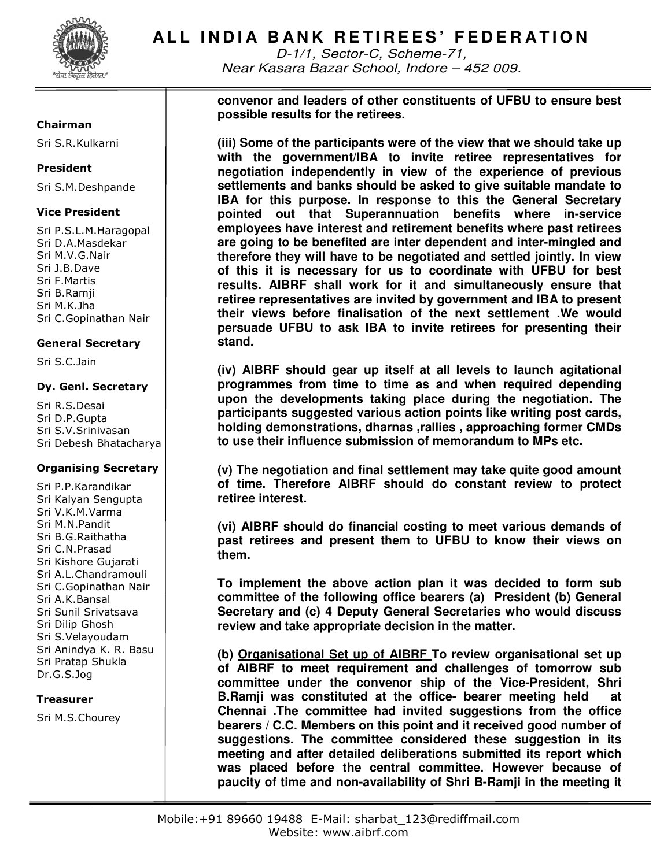

D-1/1, Sector-C, Scheme-71, Near Kasara Bazar School, Indore – 452 009.

**convenor and leaders of other constituents of UFBU to ensure best possible results for the retirees.** 

**(iii) Some of the participants were of the view that we should take up with the government/IBA to invite retiree representatives for negotiation independently in view of the experience of previous settlements and banks should be asked to give suitable mandate to IBA for this purpose. In response to this the General Secretary pointed out that Superannuation benefits where in-service employees have interest and retirement benefits where past retirees are going to be benefited are inter dependent and inter-mingled and therefore they will have to be negotiated and settled jointly. In view of this it is necessary for us to coordinate with UFBU for best results. AIBRF shall work for it and simultaneously ensure that retiree representatives are invited by government and IBA to present their views before finalisation of the next settlement .We would persuade UFBU to ask IBA to invite retirees for presenting their stand.** 

**(iv) AIBRF should gear up itself at all levels to launch agitational programmes from time to time as and when required depending upon the developments taking place during the negotiation. The participants suggested various action points like writing post cards, holding demonstrations, dharnas ,rallies , approaching former CMDs to use their influence submission of memorandum to MPs etc.** 

**(v) The negotiation and final settlement may take quite good amount of time. Therefore AIBRF should do constant review to protect retiree interest.** 

**(vi) AIBRF should do financial costing to meet various demands of past retirees and present them to UFBU to know their views on them.** 

**To implement the above action plan it was decided to form sub committee of the following office bearers (a) President (b) General Secretary and (c) 4 Deputy General Secretaries who would discuss review and take appropriate decision in the matter.**

**(b) Organisational Set up of AIBRF To review organisational set up of AIBRF to meet requirement and challenges of tomorrow sub committee under the convenor ship of the Vice-President, Shri B.Ramji was constituted at the office- bearer meeting held at Chennai .The committee had invited suggestions from the office bearers / C.C. Members on this point and it received good number of suggestions. The committee considered these suggestion in its meeting and after detailed deliberations submitted its report which was placed before the central committee. However because of paucity of time and non-availability of Shri B-Ramji in the meeting it** 

#### Chairman

Sri S.R.Kulkarni

#### President

Sri S.M.Deshpande

## Vice President

Sri P.S.L.M.Haragopal Sri D.A.Masdekar Sri M.V.G.Nair Sri J.B.Dave Sri F.Martis Sri B.Ramji Sri M.K.Jha Sri C.Gopinathan Nair

#### General Secretary

Sri S.C.Jain

#### Dy. Genl. Secretary

Sri R.S.Desai Sri D.P.Gupta Sri S.V.Srinivasan Sri Debesh Bhatacharya

#### Organising Secretary

Sri P.P.Karandikar Sri Kalyan Sengupta Sri V.K.M.Varma Sri M.N.Pandit Sri B.G.Raithatha Sri C.N.Prasad Sri Kishore Gujarati Sri A.L.Chandramouli Sri C.Gopinathan Nair Sri A.K.Bansal Sri Sunil Srivatsava Sri Dilip Ghosh Sri S.Velayoudam Sri Anindya K. R. Basu Sri Pratap Shukla Dr.G.S.Jog

#### **Treasurer**

Sri M.S.Chourey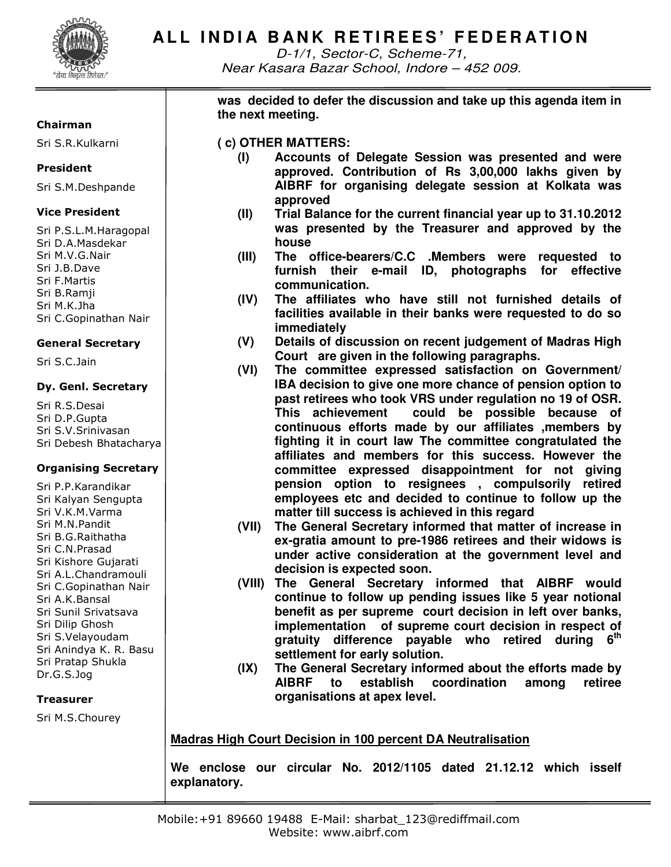

D-1/1, Sector-C, Scheme-71, Near Kasara Bazar School, Indore – 452 009.

## **was decided to defer the discussion and take up this agenda item in the next meeting.**

## **( c) OTHER MATTERS:**

- **(I) Accounts of Delegate Session was presented and were approved. Contribution of Rs 3,00,000 lakhs given by AIBRF for organising delegate session at Kolkata was approved**
- **(II) Trial Balance for the current financial year up to 31.10.2012 was presented by the Treasurer and approved by the house**
- **(III) The office-bearers/C.C .Members were requested to furnish their e-mail ID, photographs for effective communication.**
- **(IV) The affiliates who have still not furnished details of facilities available in their banks were requested to do so immediately**
- **(V) Details of discussion on recent judgement of Madras High Court are given in the following paragraphs.**
- **(VI) The committee expressed satisfaction on Government/ IBA decision to give one more chance of pension option to past retirees who took VRS under regulation no 19 of OSR. This achievement could be possible because of continuous efforts made by our affiliates ,members by fighting it in court law The committee congratulated the affiliates and members for this success. However the committee expressed disappointment for not giving pension option to resignees , compulsorily retired employees etc and decided to continue to follow up the matter till success is achieved in this regard**
- **(VII) The General Secretary informed that matter of increase in ex-gratia amount to pre-1986 retirees and their widows is under active consideration at the government level and decision is expected soon.**
- **(VIII) The General Secretary informed that AIBRF would continue to follow up pending issues like 5 year notional benefit as per supreme court decision in left over banks, implementation of supreme court decision in respect of gratuity difference payable who retired during 6th settlement for early solution.**
- **(IX) The General Secretary informed about the efforts made by AIBRF to establish coordination among retiree organisations at apex level.**

## **Madras High Court Decision in 100 percent DA Neutralisation**

**We enclose our circular No. 2012/1105 dated 21.12.12 which isself explanatory.** 

## Chairman

Sri S.R.Kulkarni

## President

Sri S.M.Deshpande

## Vice President

Sri P.S.L.M.Haragopal Sri D.A.Masdekar Sri M.V.G.Nair Sri J.B.Dave Sri F.Martis Sri B.Ramji Sri M.K.Jha Sri C.Gopinathan Nair

## General Secretary

Sri S.C.Jain

## Dy. Genl. Secretary

Sri R.S.Desai Sri D.P.Gupta Sri S.V.Srinivasan Sri Debesh Bhatacharya

## Organising Secretary

Sri P.P.Karandikar Sri Kalyan Sengupta Sri V.K.M.Varma Sri M.N.Pandit Sri B.G.Raithatha Sri C.N.Prasad Sri Kishore Gujarati Sri A.L.Chandramouli Sri C.Gopinathan Nair Sri A.K.Bansal Sri Sunil Srivatsava Sri Dilip Ghosh Sri S.Velayoudam Sri Anindya K. R. Basu Sri Pratap Shukla Dr.G.S.Jog

#### **Treasurer**

Sri M.S.Chourey